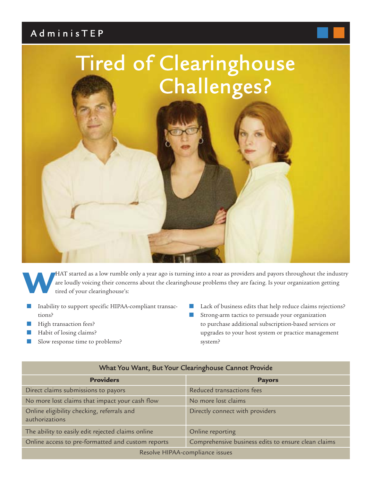# AdminisTEP



**W**HAT started as a low rumble only a year ago is turning into a roar as providers and payors throughout the industry are loudly voicing their concerns about the clearinghouse problems they are facing. Is your organization getting tired of your clearinghouse's:

- Inability to support specific HIPAA-compliant transactions?
- High transaction fees?
- Habit of losing claims?
- Slow response time to problems?
- Lack of business edits that help reduce claims rejections?
- Strong-arm tactics to persuade your organization to purchase additional subscription-based services or upgrades to your host system or practice management system?

| <b>Providers</b>                                             | <b>Payors</b>                                       |
|--------------------------------------------------------------|-----------------------------------------------------|
| Direct claims submissions to payors                          | Reduced transactions fees                           |
| No more lost claims that impact your cash flow               | No more lost claims                                 |
| Online eligibility checking, referrals and<br>authorizations | Directly connect with providers                     |
| The ability to easily edit rejected claims online            | Online reporting                                    |
| Online access to pre-formatted and custom reports            | Comprehensive business edits to ensure clean claims |
| Resolve HIPAA-compliance issues                              |                                                     |

#### What You Want, But Your Clearinghouse Cannot Provide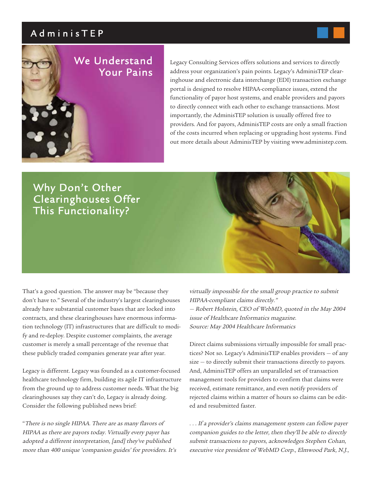## AdminisTEP



Legacy Consulting Services offers solutions and services to directly address your organization's pain points. Legacy's AdminisTEP clearinghouse and electronic data interchange (EDI) transaction exchange portal is designed to resolve HIPAA-compliance issues, extend the functionality of payor host systems, and enable providers and payors to directly connect with each other to exchange transactions. Most importantly, the AdminisTEP solution is usually offered free to providers. And for payors, AdminisTEP costs are only a small fraction of the costs incurred when replacing or upgrading host systems. Find out more details about AdminisTEP by visiting www.administep.com.

## Why Don't Other Clearinghouses Offer This Functionality?



That's a good question. The answer may be "because they don't have to." Several of the industry's largest clearinghouses already have substantial customer bases that are locked into contracts, and these clearinghouses have enormous information technology (IT) infrastructures that are difficult to modify and re-deploy. Despite customer complaints, the average customer is merely a small percentage of the revenue that these publicly traded companies generate year after year.

Legacy is different. Legacy was founded as a customer-focused healthcare technology firm, building its agile IT infrastructure from the ground up to address customer needs. What the big clearinghouses say they can't do, Legacy is already doing. Consider the following published news brief:

"There is no single HIPAA. There are as many flavors of HIPAA as there are payors today. Virtually every payer has adopted a different interpretation, [and] they've published more than 400 unique 'companion guides' for providers. It's virtually impossible for the small group practice to submit HIPAA-compliant claims directly." — Robert Holstein, CEO of WebMD, quoted in the May 2004 issue of Healthcare Informatics magazine. Source: May 2004 Healthcare Informatics

Direct claims submissions virtually impossible for small practices? Not so. Legacy's AdminisTEP enables providers — of any size — to directly submit their transactions directly to payors. And, AdminisTEP offers an unparalleled set of transaction management tools for providers to confirm that claims were received, estimate remittance, and even notify providers of rejected claims within a matter of hours so claims can be edited and resubmitted faster.

. . . If a provider's claims management system can follow payer companion guides to the letter, then they'll be able to directly submit transactions to payors, acknowledges Stephen Cohan, executive vice president of WebMD Corp., Elmwood Park, N.J.,